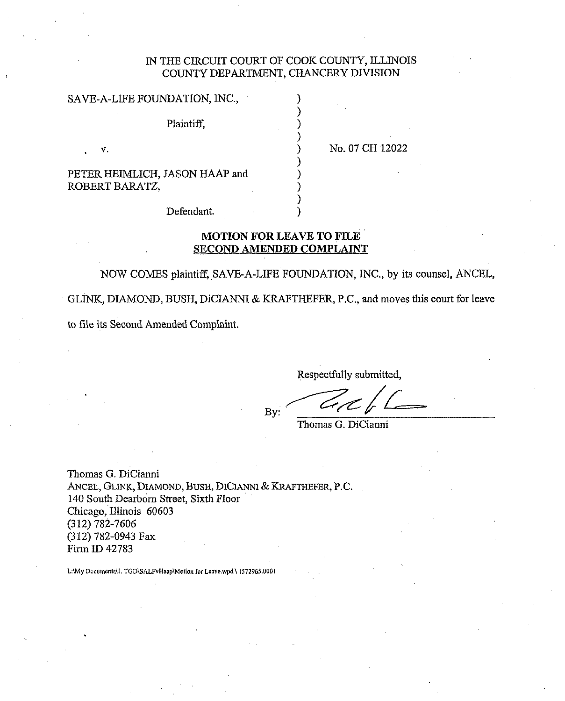## IN THE CIRCUIT COURT OF COOK COUNTY, ELINOIS COUNTY DEPARTMENT, CHANCERY DIVISION

1

| SAVE-A-LIFE FOUNDATION, INC.,                    |                 |
|--------------------------------------------------|-----------------|
| Plaintiff.                                       |                 |
| v.                                               | No. 07 CH 12022 |
| PETER HEIMLICH, JASON HAAP and<br>זהו תנות החדרת |                 |

ROBERT BARATZ,

Defendant.

### **MOTION POR LEAVE TO FILE SECOND AMENDED COMPLAINT**

NOW COMES plaintiff, SAVE-A-LIFE FOUNDATION, INC., by its counsel, ANCEL, GLINK, DIAMOND, BUSH, DICIANNI & KRAFTHEFER, P.C., and moves this court for leave to file its Second Amended Complaint.

Respectfully submitted,

By:

Thomas G. DiCianni

Thomas G. DiCianni ANCEL, GLINK, DIAMOND, BUSH, DICIANNI & KRAFTHEFER, P.C. 140 South Dearborn Street, Sixth Floor Chicago, Illinois 60603 (312) 782-7606 (3 12) 782-0943 Fax Firm ID 42783

L:\My Documents\1, TGD\SALFvHaap\Motion for Leave.wpd \ 1572965.0001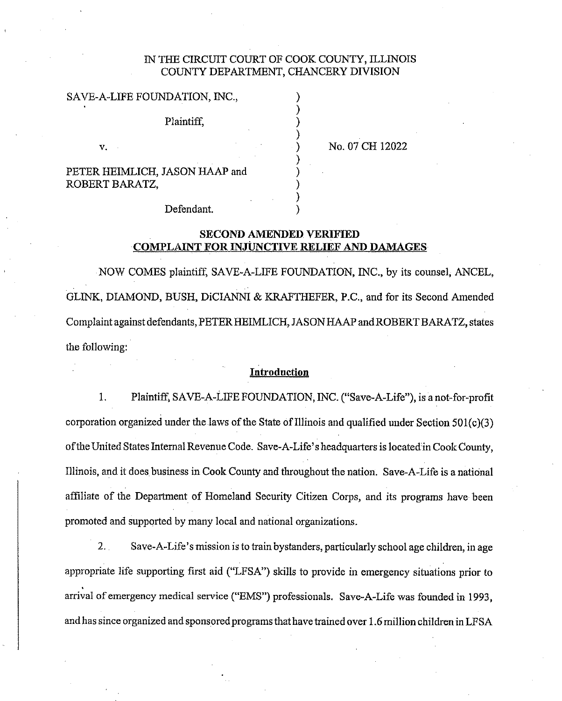### IN THE CIRCUIT COURT OF COOK COUNTY, ILLINOIS COUNTY DEPARTMENT, CHANCERY DIVISION

)

 $)$ 

### SAVE-A-LIFE FOUNDATION, INC.,

Plaintiff, 1

v. No. 07 CH 12022

PETER HEIMLICH, JASON HAAP and ROBERT BARATZ,

Defendant.

### **SECOND AMENDED VERIFIED COMPLAINT FOR INJUNCTIVE RELIEF AND DAMAGES**

NOW COMES pIaintiff, SAVE-A-LIFE FOUNDATION, INC., by its counsel, ANCEL, GLM, DIAMOND, BUSH, DiCIANNI & KRAFTHEFER, P.C., and for its Second Amended Complaint against defendants, PETER HEIMLICH, JASON **IlAAP** andROBERT BARATZ, states the following:

#### Introduction

1. Plaintiff, SAVE-A-LIFE FOUNDATION, INC. ("Save-A-Life"), is a not-for-profit corporation organized under the laws of the State of Illinois and qualified under Section 501(c)(3) of the United States Internal Revenue Code. Save-A-Life's headquarters is located in Cook County, Illinois, and it does business in Cook County and throughout the nation. Save-A-Life is a national affiliate of the Deparlment of Homeland Security Citizen Corps, and its programs have been promoted and supported by many local and national organizations.

2. Save-A-Life's mission is to train bystanders, particularly school age children, in age appropriate life supporting first aid ("LFSA") skills to provide in emergency situations prior to arrival of emergency medical service ("EMS") professionals. Save-A-Life was founded in 1993, and has since organized and sponsored programs that have trained over 1.6 million children in LFSA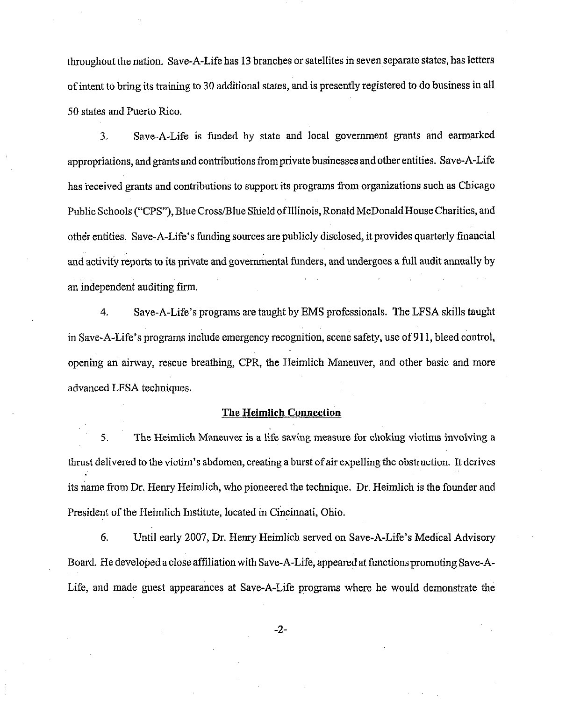throughout the nation. Save-A-Life has 13 branches or satellites in seven separate states, has letters of intent to bring its training to 30 additional states, and is presently registered to do business in all 50 states and Puerto Rico.

3. Save-A-Life is funded by state and local government grants and earmarked appropriations, and grants and contributions from private businesses and other entities. Save-A-Life has received grants and contributions to support its programs from organizations such as Chicago Public Schools ("CPS"), Blue Cross/Blue Shield of Illinois, Ronald McDonald House Charities, and other entities. Save-A-Life's funding sources are publicly disclosed, it provides quarterly financial and activity reports to its private and governmental funders, and undergoes a full audit annually by an independent auditing firm.

4. Save-A-Llfe's programs are taught by EMS professionals. The LFSA skills taught in Save-A-Life's programs include emergency recognition, scene safety, use of 91 1, bleed control, opening an airway, rescue breathing, CPR, the Heimlich Maneuver, and other basic and more advanced LFSA techniques.

#### **The Heimlich Connection**

**5.** The Heimlich Maneuver is a life saving measme **for** choking victims involving a thrust delivered to the victim's abdomen, creating a burst of air expelling the obstruction. It derives its name from Dr. Henry Heimlich, who pioneered the technique. Dr. Heimlich is the founder and President of the Heimlich Institute, located in Cincinnati, Ohio.

*6.* Until early 2007, Dr. Henry Heimlich served on Save-A-Life's Medical Advisory Board. He developed a close affiliation with Save-A-Life, appeared at functions promoting Save-A-Life, and made guest appearances at Save-A-Life programs where he would demonstrate the

 $-2-$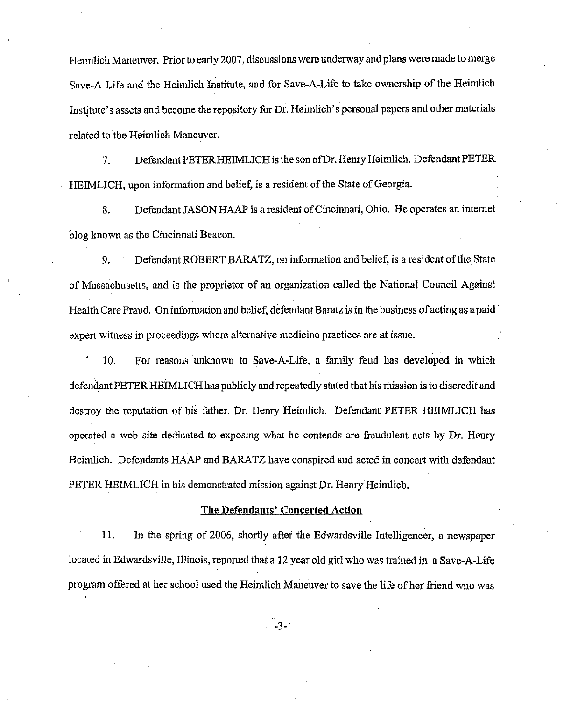Heimlich Maneuver. Prior to early 2007, discussions were underway and plans were made to merge Save-A-Life and the Heimlich Institute, and for Save-A-Life to take ownership of the Heimlich Institute's assets and become the repository for Dr. Heimlich's personal papers and other materials related to the Heimlich Maneuver.

**7.** Defendant PETERHEIMLICH is the son ofDr. Henry Heimlich. Defendant PETER HEIMLICH, upon information and belief, is a resident of the State of Georgia.

8. Defendant JASON HAAP is a resident of Cincinnati, Ohio. He operates an internet blog known as the Cincinnati Beacon.

**9.** Defendant ROBERT BARATZ, on information and belief, is a resident of the State of Massachusetts, and is the proprietor of an organization called the National Council Against Health Care Fraud. On information and belief, defendant Baratz is in the business of acting as apaid expert witness in proceedings where alternative medicine practices are at issue.

' 10. For reasons unknown to Save-A-Life, a family feud has developed in which defendant PETER HEIMLICH has publicly and repeatedly stated that his mission is to discredit and  $\cdot$ destroy the reputation of his father, Dr. Henry Heimlich. Defendant PETER HEIMLICH has operated a web site dedicated to exposing what he contends arc fraudulent acts by Dr. Henry Heimlich. Defendants HAAP and BARATZ have conspired and acted in concert with defendant PETER HEIMLICH in his demonstrated mission against Dr. Henry Heimlich.

#### The Defendants' Concerted Action

11. In the spring of 2006, shortly after the Edwardsville Intelligencer, a newspaper located in Edwardsville, Illmois, reported that a 12 year old girl who was trained in a Save-A-Life program offered at her school used the Heimlich Maneuver to save the life of her friend who was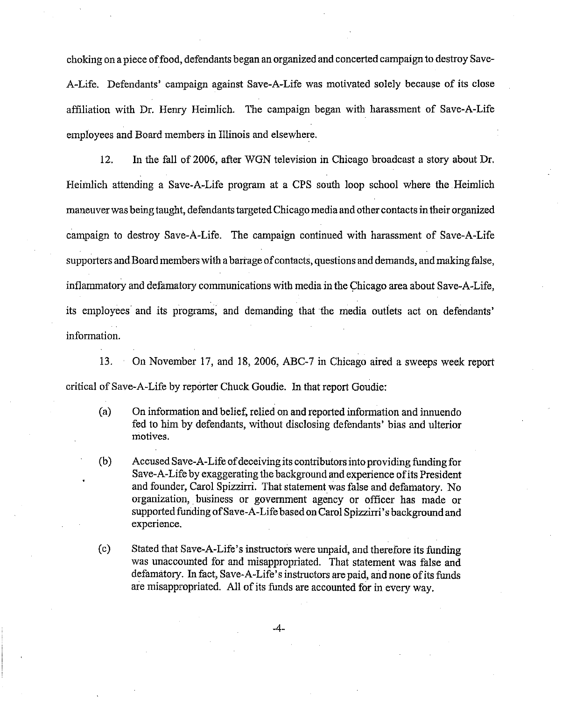choking on a piece of food, defendants began an organized and concerted campaign to destroy Save-A-Life. Defendants' campaign against Save-A-Life was motivated solely because of its close affiliation with Dr. Henry Heimlich. The campaign began with harassment of Save-A-Life employees and Board members in Illinois and elsewhere.

12. In the fall of 2006, after WGN television in Chicago broadcast a story about Dr. Heimlich attending a Save-A-Life program at a CPS south loop school where the Heimlich maneuver was being taught, defendants targeted Chicago media and other contacts in their organized campaign to destroy Save-A-Life. The campaign continued with harassment of Save-A-Life supporters and Board members with a barrage of contacts, questions and demands, and making false, inflammatory and defamatory communications with media in the Chicago area about Save-A-Life, its employees and its programs, and demanding that the media outlets act on defendants' information.

13. On November 17, and 18, 2006, ABC-7 in Chicago aired a sweeps week report critical of Save-A-Life by reporter Chuck Goudie. In that report Goudie:

- (a) On information and belief, relied on and reported information and innuendo fed to him by defendants, without disclosing defendants' bias and ulterior motives.
- (b) Accused Save-A-Life of deceiving its contributors into providing funding for Save-A-Life by exaggerating the background and experience of its President and founder, Carol Spizzirri. That statement was false and defamatory. No organization, business or government agency or officer has made or supported funding of Save-A-Life based on Carol Spizzirri's background and experience.
- (c) Stated that Save-A-Life's instructors were unpaid, and therefore its funding was unaccounted for and misappropriated. That statement was false and defamatory. In fact, Save-A-Life's instfuctors are paid, and none of its funds are misappropriated. All of its funds are accounted for in every way.

 $-4-$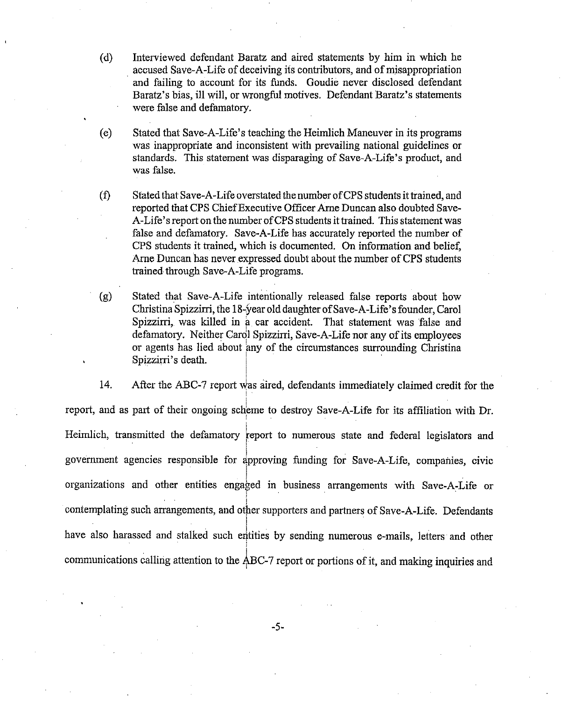- (d) Interviewed defendant Baratz and aired statements by him in which he accused Save-A-Life of deceiving its contributors, and of misappropriation and failing to account for its hnds. Goudie never disclosed defendant Baratz's bias, ill will, or wrongful motives. Defendant Baratz's statements were false and defamatory.
- (e) Stated that Save-A-Life's teaching the Heimlich Maneuver in its programs was inappropriate and inconsistent with prevailing national guidelines or standards. This statement was disparaging of Save-A-Life's product, and was false.
- **(9** Stated that Save-A-Life overstated the number of CPS students it trained, and reported that CPS Chief Executive Officer Arne Duncan also doubted Save-A-Life's report on the number of CPS students it trained. This statement was false and defamatory. Save-A-Life has accurately reported the number of CPS students it trained, which is documented. On information and belief, Arne Duncan has never expressed doubt about the number of CPS students trained through Save-A-Life programs.
- (g) Stated that Save-A-Life intentionally released false reports about how Christina Spizzim, the 18-year olddaughter of Save-A-Life's founder, Carol Spizzirri, was killed in a car accident. That statement was false and defamatory. Neither Cardl Spizzirri, Save-A-Life nor any of its employees or agents has lied about any of the circumstances surrounding Christina Spizzirri's death.

i

14. After the ABC-7 report was aired, defendants immediately claimed credit for the report, and as part of their ongoing scheme to destroy Save-A-Life for its affiliation with Dr. I Heimlich, transmitted the defamatory report to numerous state and federal legislators and I government agencies responsible for approving funding for Save-A-Life, companies, civic organizations and other entities engaged in business arrangements with Save-A-Life or contemplating such arrangements, and other supporters and partners of Save-A-Life. Defendants I have also harassed and stalked such entities by sending numerous e-mails, letters and other communications calling attention to the ABC-7 report or portions of it, and making inquiries and

 $-5-$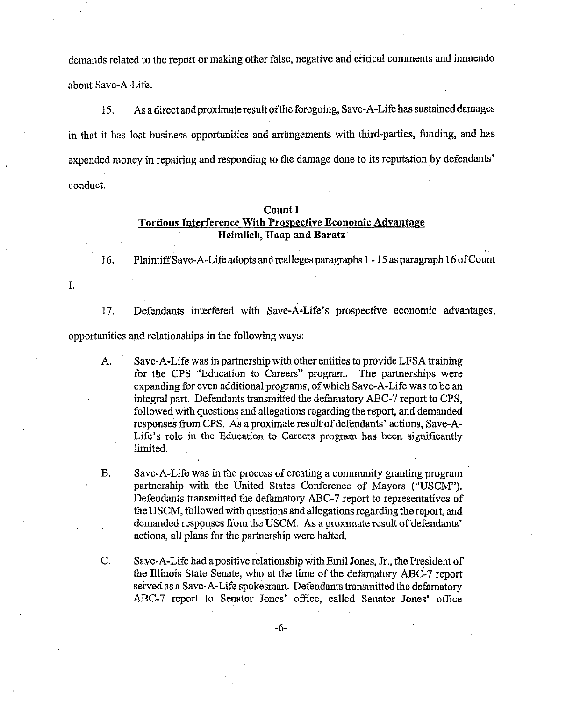demands related to the report or making other false, negative and critical comments and innuendo about Save-A-Life.

15. As a dircct and proximate result of the foregoing, Save-A-Life has sustained damages in that it has lost business opportunities and arrangements with third-parties, funding, and has expended money in repairing and responding to the damage done to its reputation by defendants' conduct.

### Count I Tortious Interference With Prospective Economic Advantage Heimlich, Haap and Baratz'

16. Plaintiff Save-A-Life adopts and realleges paragraphs 1 - 15 as paragraph 16 of Count

I.

17. Defendants interfered with Save-A-Life's prospective economic advantages, opportunities and relationships in the following ways:

A. Save-A-Life was in partnership with other entities to provide LFSA lraining for the CPS "Education to Careers" program. The partnerships were expanding for even additional programs, of which Save-A-Life was to be an integral part. Defendants transmitted the defamatory ABC-7 report to CPS, followed with questions and allegations regarding the report, and demanded responses from CPS. As a proximate result of defendants' actions, Save-A-Life's role in the Education to Careers program has been significantly limited.

B. Save-A-Life was in the process of creating a community granting program partnership with the United States Conference of Mayors ("USCM"). Defendants transmitted the defamatory ABC-7 report to representatives of the USCM, followed with questions and allegations regarding the report, and demanded responses from the USCM. As a proximate result of defendants' actions, all plans for the partnership were halted.

C. Save-A-Life had a positive relationship with Emil Jones, Jr., the President of the Illinois State Senate, who at the time of the defamatory ABC-7 report served as a Save-A-Life spokesman. Defendants transmitted the defamatory ABC-7 report to Senator Jones' office, called Senator Jones' office

-6-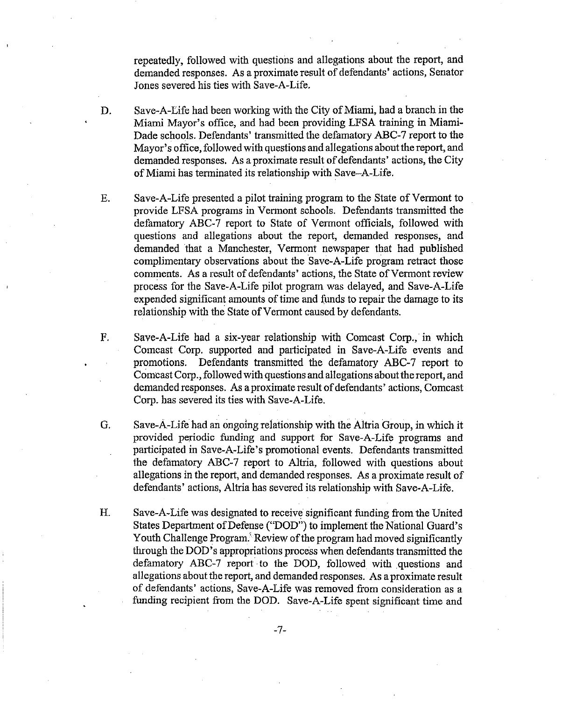repeatedly, followed with questions and allegations about the report, and demanded responses. As a proximate result of defendants' actions, Senator Jones severed his ties with Save-A-Life.

- D. Save-A-Life had been working with the City of Miami, had a branch in the Miami Mayor's office, and had been providing LFSA training in Miami-Dade schools. Defendants' transmitted the defamatory ABC-7 report to the Mayor's office, followed with questions and allegations about thereport, and demanded responses. As a proximate result of defendants' actions, the City of Miami has terminated its relationship with Save-A-Life.
- E. Save-A-Life presented a pilot training program to the State of Vermont to provide LFSA programs in Vermont schools. Defendants transmitted the defamatory ABC-7 report to State of Vermont officials, followed with questions and allegations about the report, demanded responses, and demanded that a Manchester, Vermont newspaper that had published complimentary observations about the Save-A-Life program retract those comments. As a result of defendants' actions, the State of Vermont review process for the Save-A-Life pilot program was delayed, and Save-A-Life expended significant amounts of time and funds to repair the damage to its relationship with the State of Vermont caused by defendants.
- F. Save-A-Life bad a six-year relationship with Comcast Corp., in which Comcast Corp. supported and participated in Save-A-Life events and promotions. Defendants transmitted the defamatory ABC-7 report to Comcast Corp., followed with questions and allegations about the report, and demanded responses. As aproximate result of defendants' actions, Comcast Corp. has severed its ties with Save-A-Life.
- *G.* Save-A-Life had an ongoing relationship with the Altria Group, in which it provided periodic funding and support for Save-A-Life programs and participated in Save-A-Life's promotional events. Defendants transmitted the defamatory ABC-7 report to Altria, followed with questions about allegations in the report, and demanded responses. As a proximate result of defendants' actions, Altria has severed its relationship with Save-A-Life.
- H. Save-A-Life was designated to receive significant fimding from the United States Department of Defense ("DOD") to implement the National Guard's Youth Challenge Program.<sup>3</sup> Review of the program had moved significantly through the DOD's appropriations process when defendants transmitted the defamatory ABC-7 report to the DOD, followed with questions and allegations about the report, and demanded responses. As a proximate result of defendants' actions, Save-A-Life was removed from consideration as a funding recipient from the DOD. Save-A-Life spent significant time and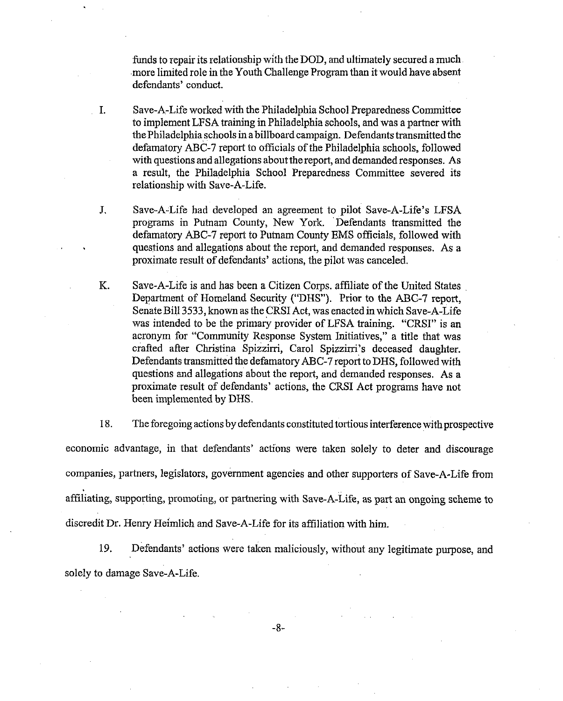funds to repair its relationship with the DOD, and ultimately secured a much more limited role in the Youth Challenge Program than it would have absent defendants' conduct.

**I.** Save-A-Life worked with the Philadelphia School Preparedness Committee to implement LFSA training in Philadelphia schools, and was a partner with the Philadelphiaschools in a billboard campaign. Defendants transmitted the defamatory ABC-7 report to officials of the Philadelphia schools, followed with questions and allegations about the report, and demanded responses. As a result, the Philadelphia School Preparedness Committee severed its relationship with Save-A-Life.

- **J.** Save-A-Life had developed an agreement to pilot Save-A-Life's LFSA programs in Putnanl County, New York. Defendants transmitted the defamatory ABC-7 report to Putnam County EMS officials, followed with questions and allegations about the report, and demanded responses. As a proximate result of defendants' actions, the pilot was canceled.
- IC. Save-A-Life is and has been a Citizen Corps. affiliate of the United States Department of Homeland Security ("DHS"). Prior to the ABC-7 report, Senate Bill 3533, known as the CRSI Act, was enacted in which Save-A-Life was intended to be the primary provider of LFSA training. "CRSI" is an acronym for "Community Response System Initiatives," a title that was crafted after Christina Spizzirri, Carol Spizzirri's deceased daughter. Defendants transmitted the defamatory ABC-7 report to DHS, followed with questions and allegations about the report, and demanded responses. As a proximate result of defendants' actions, the CRSI Act programs have not been implemented by DHS.

18. The foregoing actions by defendants constituted tortious interference with prospective economic advantage, in that defendants' actions were taken solely to deter and discourage companies, partners, legislators, government agencies and other supporters of Save-A-Life from affiliating, supporting, promoting, or partnering with Save-A-Life, as part an ongoing scheme to discredit Dr. Henry Heimlich and Save-A-Life for its affiliation with him.

19. Defendants' actions were taken maliciously, without any legitimate purpose, and solely to damage Save-A-Life.

 $-8-$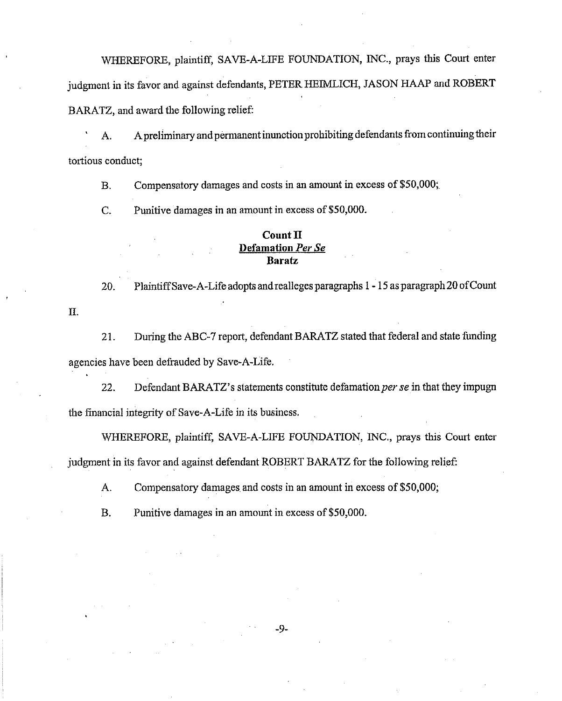WHEREFORE, plaintiff, SAVE-A-LIFE FOUNDATION, INC., prays this Court enter judgmcnt in its favor and against defendants, PETER HEIMLICH, JASON HAAP and ROBERT BARATZ, and award the following relief:

A. Apreliminary and permanent inunction prohibiting defendants from continuing their tortious conduct;

B. Compensatory damages and costs in an amount in excess of \$50,000;

C. Punitive damages in an amount in excess of \$50,000.

**11.** 

### **Count 11 Defamation** *Per* **Se Baratz**

**20.** Plaintiff Save-A-Life adopts and realleges paragraphs 1 - 15 as paragraph 20 of Count

21. During the ABC-7 report, defendant BARATZ stated that federal and state funding agencies have been defrauded by Save-A-Life.

22. Defendant BARATZ's statements constitute defamation *per se* in that they impugn the financial integrity of Save-A-Life in its business.

WHEREFORE, plaintiff, SAVE-A-LIFE FOUNDATION, INC., prays this Court enter judgment in its favor and against defendant ROBERT BARATZ for the following relief:

**A.** Compensatory damages and costs in an amount in excess of \$50,000;

B. Punitive damages in an amount in excess of \$50,000.

 $-9-$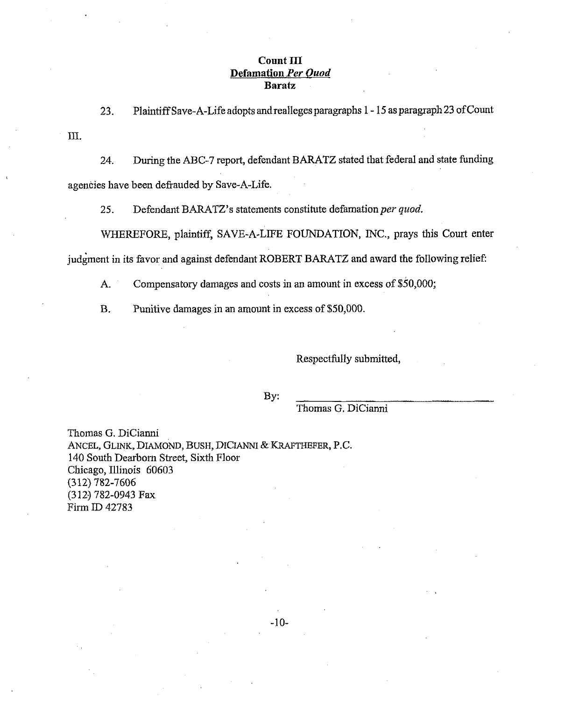### $Count$   $III$ **Defamation** *Per* **Ouod Baratz**

23. Plaintiff Save-A-Life adopts and realleges paragraphs 1 - 15 as paragraph 23 of Count

**111.** 

24. During the ABC-7 report, defendant BARATZ stated that federal and state funding agencies have been defrauded by Save-A-Life.

25. Defendant BARATZ's statements constitute defamation per quod.

WIIEREFORE, plaintiff, SAVE-A-LIFE FOUNDATION, INC., prays this Court enter judgment in its favor and against defendant ROBERT BARATZ and award the following relief:

A. Compensatory damages and costs in an amount in excess of \$50,000;

B. Punitive damages in an amount in excess of \$50,000.

Respectfully submitted,

By:

Thomas G. DiCianni

Thomas G. DiCianni ANCEL, GLINK, DIAMOND, BUSH, DICIANNI & KRAFTHEFER, P.C. 140 South Dearbom Street, Sixth Floor Chicago, Illinois 60603 (312) 782-7606 (3123 782-0943 Fax Firm ID 42783